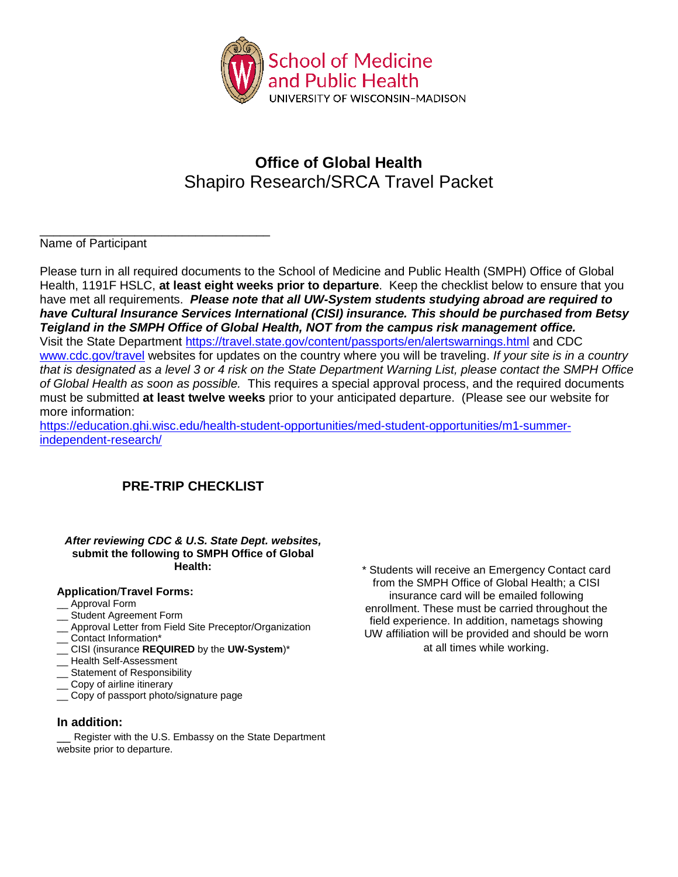

## **Office of Global Health** Shapiro Research/SRCA Travel Packet

#### \_\_\_\_\_\_\_\_\_\_\_\_\_\_\_\_\_\_\_\_\_\_\_\_\_\_\_\_\_\_\_\_\_\_ Name of Participant

Please turn in all required documents to the School of Medicine and Public Health (SMPH) Office of Global Health, 1191F HSLC, **at least eight weeks prior to departure**. Keep the checklist below to ensure that you have met all requirements. *Please note that all UW-System students studying abroad are required to have Cultural Insurance Services International (CISI) insurance. This should be purchased from Betsy Teigland in the SMPH Office of Global Health, NOT from the campus risk management office.* Visit the State Department<https://travel.state.gov/content/passports/en/alertswarnings.html> and CDC [www.cdc.gov/travel](http://www.cdc.gov/travel) websites for updates on the country where you will be traveling. *If your site is in a country that is designated as a level 3 or 4 risk on the State Department Warning List, please contact the SMPH Office of Global Health as soon as possible.* This requires a special approval process, and the required documents must be submitted **at least twelve weeks** prior to your anticipated departure. (Please see our website for more information:

[https://education.ghi.wisc.edu/health-student-opportunities/med-student-opportunities/m1-summer](https://education.ghi.wisc.edu/health-student-opportunities/med-student-opportunities/m1-summer-independent-research/)[independent-research/](https://education.ghi.wisc.edu/health-student-opportunities/med-student-opportunities/m1-summer-independent-research/)

### **PRE-TRIP CHECKLIST**

#### *After reviewing CDC & U.S. State Dept. websites,* **submit the following to SMPH Office of Global Health:**

#### **Application**/**Travel Forms:**

- \_\_ Approval Form
- Student Agreement Form
- \_\_ Approval Letter from Field Site Preceptor/Organization
- Contact Information\*
- \_\_ CISI (insurance **REQUIRED** by the **UW-System**)\*
- \_\_ Health Self-Assessment
- Statement of Responsibility
- Copy of airline itinerary
- \_\_ Copy of passport photo/signature page

#### **In addition:**

Register with the U.S. Embassy on the State Department website prior to departure.

\* Students will receive an Emergency Contact card from the SMPH Office of Global Health; a CISI insurance card will be emailed following enrollment. These must be carried throughout the field experience. In addition, nametags showing UW affiliation will be provided and should be worn at all times while working.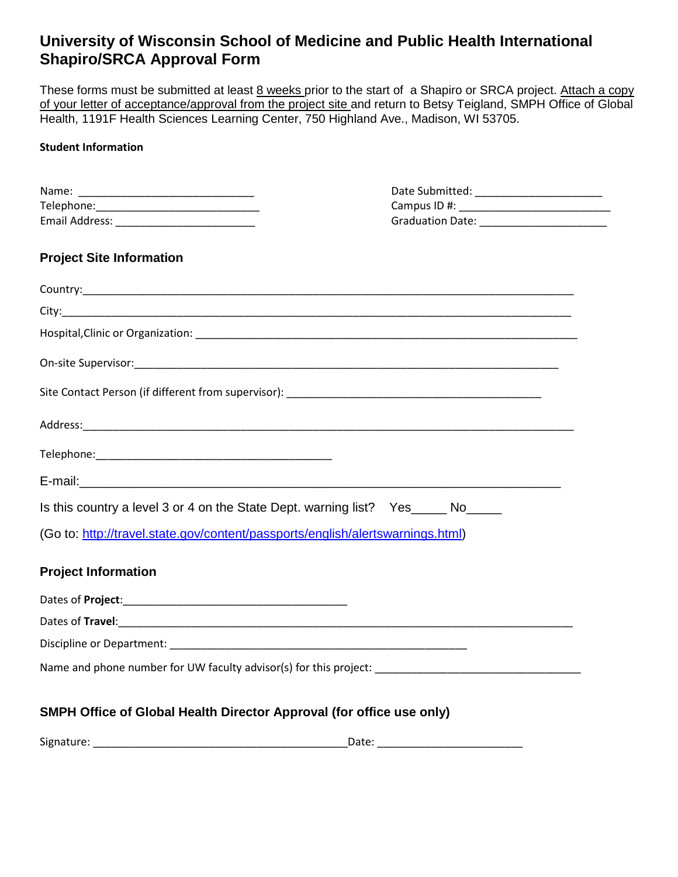## **University of Wisconsin School of Medicine and Public Health International Shapiro/SRCA Approval Form**

These forms must be submitted at least 8 weeks prior to the start of a Shapiro or SRCA project. Attach a copy of your letter of acceptance/approval from the project site and return to Betsy Teigland, SMPH Office of Global Health, 1191F Health Sciences Learning Center, 750 Highland Ave., Madison, WI 53705.

#### **Student Information**

|                                                                                                      | Date Submitted: __________________________ |
|------------------------------------------------------------------------------------------------------|--------------------------------------------|
|                                                                                                      |                                            |
|                                                                                                      |                                            |
|                                                                                                      |                                            |
| <b>Project Site Information</b>                                                                      |                                            |
|                                                                                                      |                                            |
|                                                                                                      |                                            |
|                                                                                                      |                                            |
|                                                                                                      |                                            |
|                                                                                                      |                                            |
|                                                                                                      |                                            |
|                                                                                                      |                                            |
|                                                                                                      |                                            |
| Is this country a level 3 or 4 on the State Dept. warning list? Yes _____ No_____                    |                                            |
| (Go to: http://travel.state.gov/content/passports/english/alertswarnings.html)                       |                                            |
| <b>Project Information</b>                                                                           |                                            |
|                                                                                                      |                                            |
|                                                                                                      |                                            |
|                                                                                                      |                                            |
| Name and phone number for UW faculty advisor(s) for this project: __________________________________ |                                            |
| SMPH Office of Global Health Director Approval (for office use only)                                 |                                            |

| <b></b><br>Signature <sup>.</sup> | dlt. " |
|-----------------------------------|--------|
|                                   |        |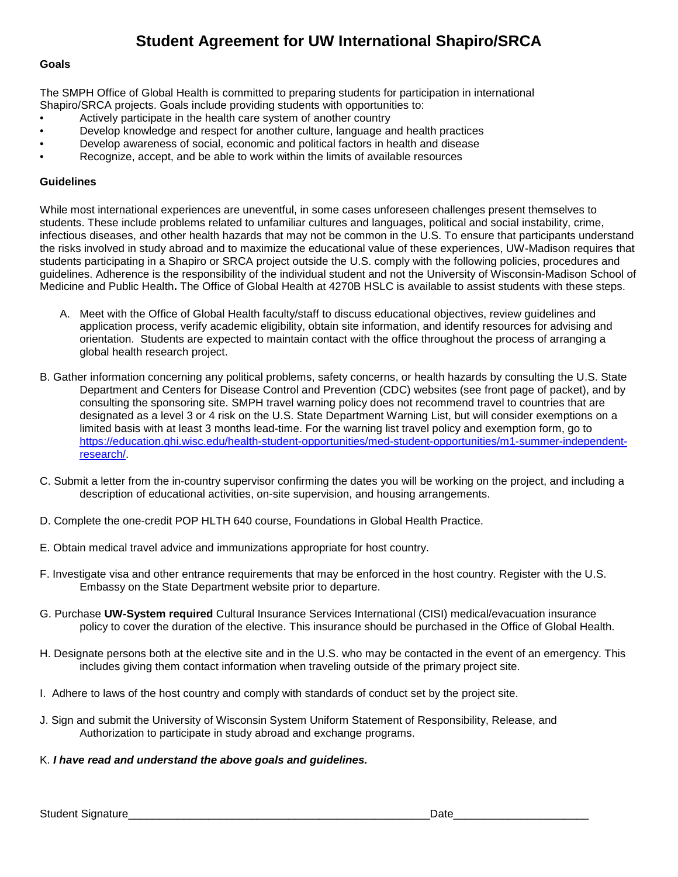## **Student Agreement for UW International Shapiro/SRCA**

#### **Goals**

The SMPH Office of Global Health is committed to preparing students for participation in international Shapiro/SRCA projects. Goals include providing students with opportunities to:

- Actively participate in the health care system of another country
- Develop knowledge and respect for another culture, language and health practices
- Develop awareness of social, economic and political factors in health and disease
- Recognize, accept, and be able to work within the limits of available resources

#### **Guidelines**

While most international experiences are uneventful, in some cases unforeseen challenges present themselves to students. These include problems related to unfamiliar cultures and languages, political and social instability, crime, infectious diseases, and other health hazards that may not be common in the U.S. To ensure that participants understand the risks involved in study abroad and to maximize the educational value of these experiences, UW-Madison requires that students participating in a Shapiro or SRCA project outside the U.S. comply with the following policies, procedures and guidelines. Adherence is the responsibility of the individual student and not the University of Wisconsin-Madison School of Medicine and Public Health**.** The Office of Global Health at 4270B HSLC is available to assist students with these steps.

- A. Meet with the Office of Global Health faculty/staff to discuss educational objectives, review guidelines and application process, verify academic eligibility, obtain site information, and identify resources for advising and orientation. Students are expected to maintain contact with the office throughout the process of arranging a global health research project.
- B. Gather information concerning any political problems, safety concerns, or health hazards by consulting the U.S. State Department and Centers for Disease Control and Prevention (CDC) websites (see front page of packet), and by consulting the sponsoring site. SMPH travel warning policy does not recommend travel to countries that are designated as a level 3 or 4 risk on the U.S. State Department Warning List, but will consider exemptions on a limited basis with at least 3 months lead-time. For the warning list travel policy and exemption form, go to [https://education.ghi.wisc.edu/health-student-opportunities/med-student-opportunities/m1-summer-independent](https://education.ghi.wisc.edu/health-student-opportunities/med-student-opportunities/m1-summer-independent-research/)[research/.](https://education.ghi.wisc.edu/health-student-opportunities/med-student-opportunities/m1-summer-independent-research/)
- C. Submit a letter from the in-country supervisor confirming the dates you will be working on the project, and including a description of educational activities, on-site supervision, and housing arrangements.
- D. Complete the one-credit POP HLTH 640 course, Foundations in Global Health Practice.
- E. Obtain medical travel advice and immunizations appropriate for host country.
- F. Investigate visa and other entrance requirements that may be enforced in the host country. Register with the U.S. Embassy on the State Department website prior to departure.
- G. Purchase **UW-System required** Cultural Insurance Services International (CISI) medical/evacuation insurance policy to cover the duration of the elective. This insurance should be purchased in the Office of Global Health.
- H. Designate persons both at the elective site and in the U.S. who may be contacted in the event of an emergency. This includes giving them contact information when traveling outside of the primary project site.
- I. Adhere to laws of the host country and comply with standards of conduct set by the project site.
- J. Sign and submit the University of Wisconsin System Uniform Statement of Responsibility, Release, and Authorization to participate in study abroad and exchange programs.
- K. *I have read and understand the above goals and guidelines.*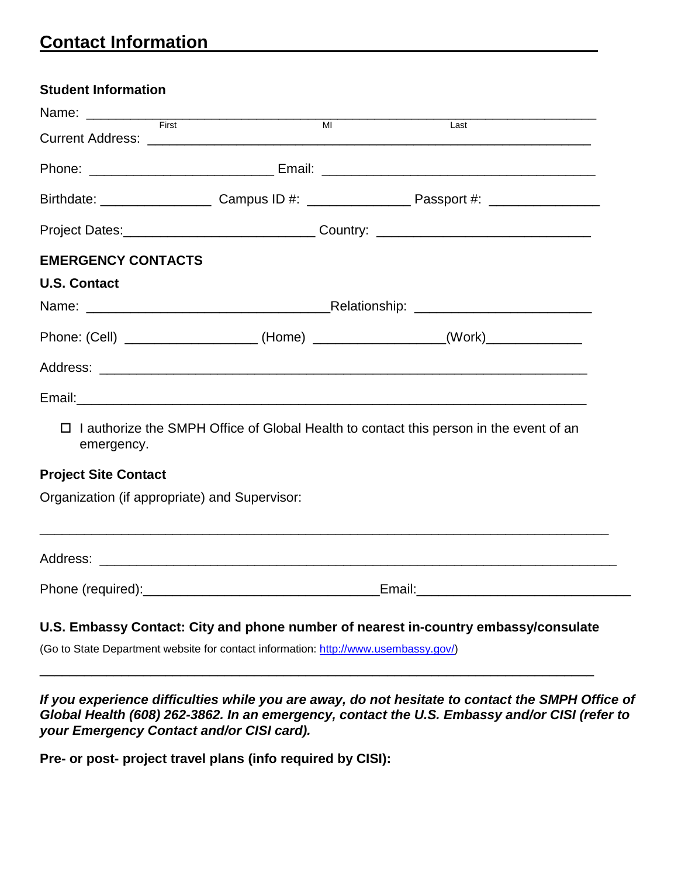# **Contact Information**

| <b>Student Information</b>                    |                                                                                                                                                                                                                                |  |
|-----------------------------------------------|--------------------------------------------------------------------------------------------------------------------------------------------------------------------------------------------------------------------------------|--|
|                                               | $\overline{M}$ $\overline{M}$<br>Last                                                                                                                                                                                          |  |
|                                               |                                                                                                                                                                                                                                |  |
|                                               |                                                                                                                                                                                                                                |  |
|                                               |                                                                                                                                                                                                                                |  |
|                                               | Project Dates:__________________________________Country: _______________________                                                                                                                                               |  |
| <b>EMERGENCY CONTACTS</b>                     |                                                                                                                                                                                                                                |  |
| <b>U.S. Contact</b>                           |                                                                                                                                                                                                                                |  |
|                                               |                                                                                                                                                                                                                                |  |
|                                               | Phone: (Cell) _____________________(Home) ________________(Work)________________                                                                                                                                               |  |
|                                               |                                                                                                                                                                                                                                |  |
|                                               | Email: example and a series of the series of the series of the series of the series of the series of the series of the series of the series of the series of the series of the series of the series of the series of the serie |  |
| п<br>emergency.                               | I authorize the SMPH Office of Global Health to contact this person in the event of an                                                                                                                                         |  |
| <b>Project Site Contact</b>                   |                                                                                                                                                                                                                                |  |
| Organization (if appropriate) and Supervisor: |                                                                                                                                                                                                                                |  |
|                                               |                                                                                                                                                                                                                                |  |
|                                               |                                                                                                                                                                                                                                |  |
|                                               |                                                                                                                                                                                                                                |  |

(Go to State Department website for contact information: [http://www.usembassy.gov/\)](http://www.usembassy.gov/)

*If you experience difficulties while you are away, do not hesitate to contact the SMPH Office of Global Health (608) 262-3862. In an emergency, contact the U.S. Embassy and/or CISI (refer to your Emergency Contact and/or CISI card).*

\_\_\_\_\_\_\_\_\_\_\_\_\_\_\_\_\_\_\_\_\_\_\_\_\_\_\_\_\_\_\_\_\_\_\_\_\_\_\_\_\_\_\_\_\_\_\_\_\_\_\_\_\_\_\_\_\_\_\_\_\_\_\_\_\_\_\_\_\_\_\_\_\_\_\_

**Pre- or post- project travel plans (info required by CISI):**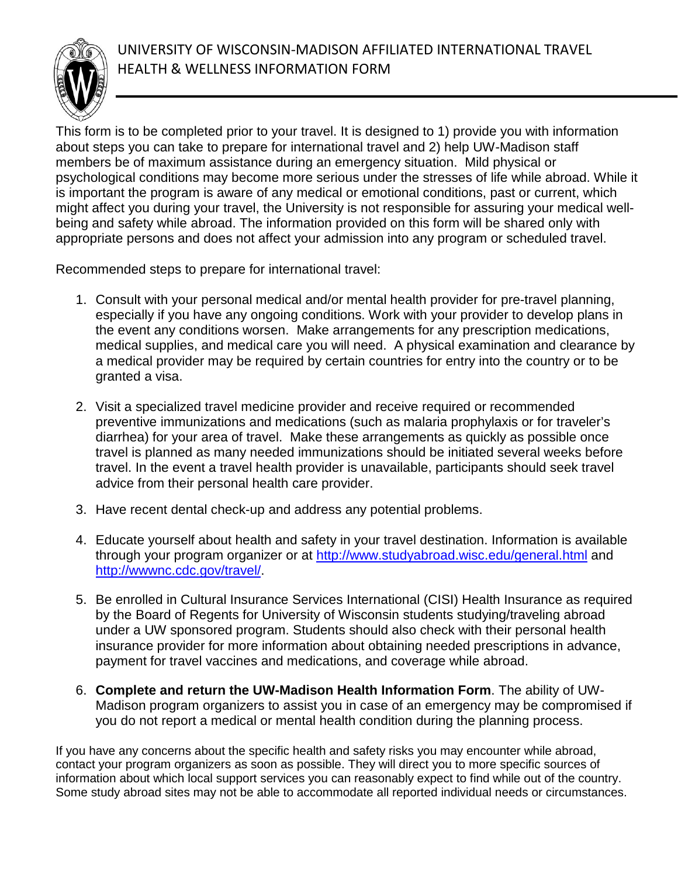UNIVERSITY OF WISCONSIN-MADISON AFFILIATED INTERNATIONAL TRAVEL HEALTH & WELLNESS INFORMATION FORM

This form is to be completed prior to your travel. It is designed to 1) provide you with information about steps you can take to prepare for international travel and 2) help UW-Madison staff members be of maximum assistance during an emergency situation. Mild physical or psychological conditions may become more serious under the stresses of life while abroad. While it is important the program is aware of any medical or emotional conditions, past or current, which might affect you during your travel, the University is not responsible for assuring your medical wellbeing and safety while abroad. The information provided on this form will be shared only with appropriate persons and does not affect your admission into any program or scheduled travel.

Recommended steps to prepare for international travel:

- 1. Consult with your personal medical and/or mental health provider for pre-travel planning, especially if you have any ongoing conditions. Work with your provider to develop plans in the event any conditions worsen. Make arrangements for any prescription medications, medical supplies, and medical care you will need. A physical examination and clearance by a medical provider may be required by certain countries for entry into the country or to be granted a visa.
- 2. Visit a specialized travel medicine provider and receive required or recommended preventive immunizations and medications (such as malaria prophylaxis or for traveler's diarrhea) for your area of travel. Make these arrangements as quickly as possible once travel is planned as many needed immunizations should be initiated several weeks before travel. In the event a travel health provider is unavailable, participants should seek travel advice from their personal health care provider.
- 3. Have recent dental check-up and address any potential problems.
- 4. Educate yourself about health and safety in your travel destination. Information is available through your program organizer or at<http://www.studyabroad.wisc.edu/general.html> and [http://wwwnc.cdc.gov/travel/.](http://wwwnc.cdc.gov/travel/)
- 5. Be enrolled in Cultural Insurance Services International (CISI) Health Insurance as required by the Board of Regents for University of Wisconsin students studying/traveling abroad under a UW sponsored program. Students should also check with their personal health insurance provider for more information about obtaining needed prescriptions in advance, payment for travel vaccines and medications, and coverage while abroad.
- 6. **Complete and return the UW-Madison Health Information Form**. The ability of UW-Madison program organizers to assist you in case of an emergency may be compromised if you do not report a medical or mental health condition during the planning process.

If you have any concerns about the specific health and safety risks you may encounter while abroad, contact your program organizers as soon as possible. They will direct you to more specific sources of information about which local support services you can reasonably expect to find while out of the country. Some study abroad sites may not be able to accommodate all reported individual needs or circumstances.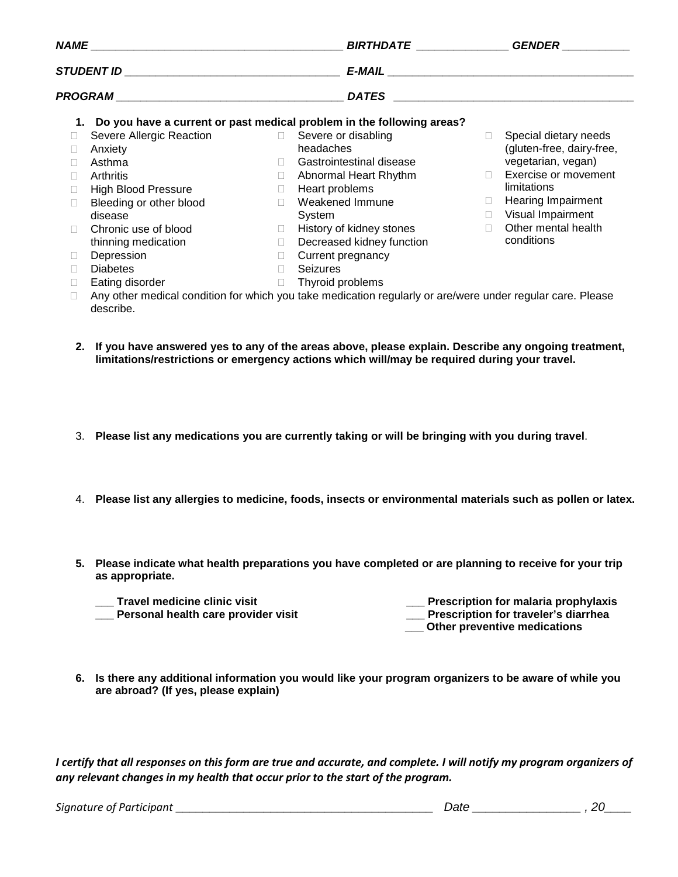| NAME |                                                | BIRTHDATE _______________ |                                                                                                            | <b>GENDER</b> |                                                    |
|------|------------------------------------------------|---------------------------|------------------------------------------------------------------------------------------------------------|---------------|----------------------------------------------------|
|      |                                                |                           |                                                                                                            |               |                                                    |
|      |                                                |                           | <b>DATES</b>                                                                                               |               | <u> 1980 - John Stein, Amerikaansk politiker (</u> |
| 1.   |                                                |                           | Do you have a current or past medical problem in the following areas?                                      |               |                                                    |
|      | Severe Allergic Reaction □ Severe or disabling |                           |                                                                                                            | П.            | Special dietary needs                              |
|      | Anxiety                                        |                           | headaches                                                                                                  |               | (gluten-free, dairy-free,                          |
|      | Asthma                                         | П.                        | Gastrointestinal disease                                                                                   |               | vegetarian, vegan)                                 |
| П    | Arthritis                                      | $\Box$                    | Abnormal Heart Rhythm                                                                                      | $\Box$        | Exercise or movement                               |
|      | <b>High Blood Pressure</b>                     | $\Box$                    | Heart problems                                                                                             |               | limitations                                        |
| П    | Bleeding or other blood                        | $\Box$                    | Weakened Immune                                                                                            | $\Box$        | <b>Hearing Impairment</b>                          |
|      | disease                                        |                           | System                                                                                                     | П.            | Visual Impairment                                  |
| П    | Chronic use of blood                           | $\Box$                    | History of kidney stones                                                                                   | П             | Other mental health                                |
|      | thinning medication                            | $\Box$                    | Decreased kidney function                                                                                  |               | conditions                                         |
| Ш    | Depression                                     | $\Box$                    | Current pregnancy                                                                                          |               |                                                    |
|      | <b>Diabetes</b>                                | П                         | <b>Seizures</b>                                                                                            |               |                                                    |
| П    | Eating disorder                                | $\Box$                    | Thyroid problems                                                                                           |               |                                                    |
|      |                                                |                           | Any other medical condition for which you take medication regularly or are/were under regular care. Please |               |                                                    |

- describe.
- **2. If you have answered yes to any of the areas above, please explain. Describe any ongoing treatment, limitations/restrictions or emergency actions which will/may be required during your travel.**
- 3. **Please list any medications you are currently taking or will be bringing with you during travel**.
- 4. **Please list any allergies to medicine, foods, insects or environmental materials such as pollen or latex.**
- **5. Please indicate what health preparations you have completed or are planning to receive for your trip as appropriate.** 
	- **\_\_\_ Travel medicine clinic visit \_\_\_ Personal health care provider visit**
- **\_\_\_ Prescription for malaria prophylaxis**
- **\_\_\_ Prescription for traveler's diarrhea** 
	- **\_\_\_ Other preventive medications**
- **6. Is there any additional information you would like your program organizers to be aware of while you are abroad? (If yes, please explain)**

*I certify that all responses on this form are true and accurate, and complete. I will notify my program organizers of any relevant changes in my health that occur prior to the start of the program.*

*Signature of Participant \_\_\_\_\_\_\_\_\_\_\_\_\_\_\_\_\_\_\_\_\_\_\_\_\_\_\_\_\_\_\_\_\_\_\_\_\_\_ Date \_\_\_\_\_\_\_\_\_\_\_\_\_\_\_\_ , 20\_\_\_\_*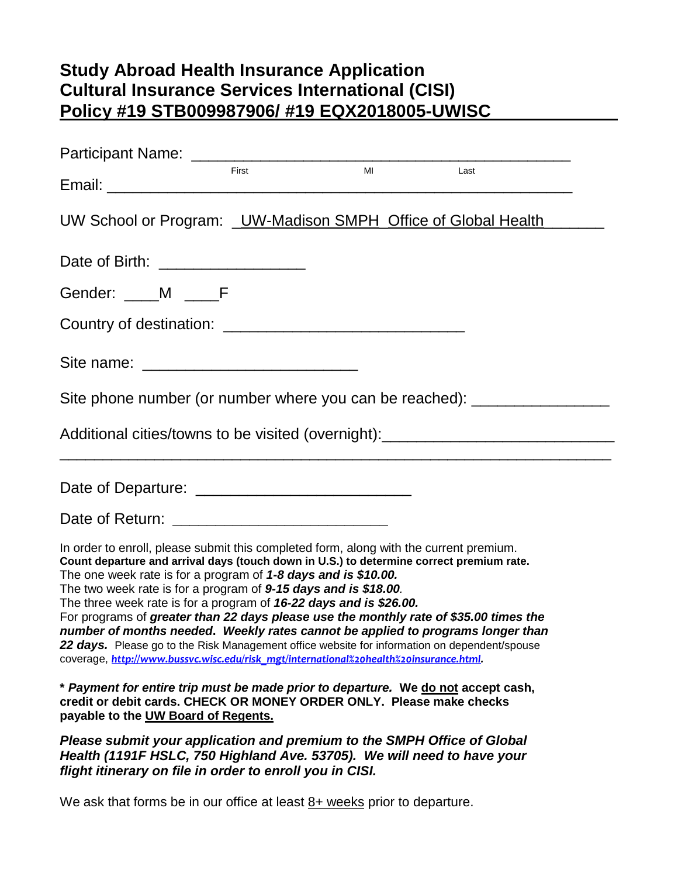# **Study Abroad Health Insurance Application Cultural Insurance Services International (CISI) Policy #19 STB009987906/ #19 EQX2018005-UWISC**

|                                                                                                                                                                                                                                                                                                                                                                                                                                                                                                                                                                                                                                                                                                                                                                    | First        | <b>MI</b> | Last |  |
|--------------------------------------------------------------------------------------------------------------------------------------------------------------------------------------------------------------------------------------------------------------------------------------------------------------------------------------------------------------------------------------------------------------------------------------------------------------------------------------------------------------------------------------------------------------------------------------------------------------------------------------------------------------------------------------------------------------------------------------------------------------------|--------------|-----------|------|--|
| UW School or Program: UW-Madison SMPH Office of Global Health                                                                                                                                                                                                                                                                                                                                                                                                                                                                                                                                                                                                                                                                                                      |              |           |      |  |
| Date of Birth: ____________________                                                                                                                                                                                                                                                                                                                                                                                                                                                                                                                                                                                                                                                                                                                                |              |           |      |  |
| Gender: ____M ____F                                                                                                                                                                                                                                                                                                                                                                                                                                                                                                                                                                                                                                                                                                                                                |              |           |      |  |
|                                                                                                                                                                                                                                                                                                                                                                                                                                                                                                                                                                                                                                                                                                                                                                    |              |           |      |  |
|                                                                                                                                                                                                                                                                                                                                                                                                                                                                                                                                                                                                                                                                                                                                                                    |              |           |      |  |
| Site phone number (or number where you can be reached): ________________________                                                                                                                                                                                                                                                                                                                                                                                                                                                                                                                                                                                                                                                                                   |              |           |      |  |
| Additional cities/towns to be visited (overnight): _____________________________                                                                                                                                                                                                                                                                                                                                                                                                                                                                                                                                                                                                                                                                                   |              |           |      |  |
|                                                                                                                                                                                                                                                                                                                                                                                                                                                                                                                                                                                                                                                                                                                                                                    |              |           |      |  |
| Date of Return: ___________________________________                                                                                                                                                                                                                                                                                                                                                                                                                                                                                                                                                                                                                                                                                                                |              |           |      |  |
| In order to enroll, please submit this completed form, along with the current premium.<br>Count departure and arrival days (touch down in U.S.) to determine correct premium rate.<br>The one week rate is for a program of 1-8 days and is \$10.00.<br>The two week rate is for a program of 9-15 days and is \$18.00.<br>The three week rate is for a program of 16-22 days and is \$26.00.<br>For programs of greater than 22 days please use the monthly rate of \$35.00 times the<br>number of months needed. Weekly rates cannot be applied to programs longer than<br>22 days. Please go to the Risk Management office website for information on dependent/spouse<br>coverage, http://www.bussvc.wisc.edu/risk_mgt/international%20health%20insurance.html |              |           |      |  |
| * Payment for entire trip must be made prior to departure. We do not accept cash,<br>credit or debit cards. CHECK OR MONEY ORDER ONLY. Please make checks<br>payable to the UW Board of Regents.                                                                                                                                                                                                                                                                                                                                                                                                                                                                                                                                                                   |              |           |      |  |
| Please submit your application and premium to the SMPH Office of Global                                                                                                                                                                                                                                                                                                                                                                                                                                                                                                                                                                                                                                                                                            | F(101077771) |           |      |  |

*Health (1191F HSLC, 750 Highland Ave. 53705). We will need to have your flight itinerary on file in order to enroll you in CISI.*

We ask that forms be in our office at least  $8+$  weeks prior to departure.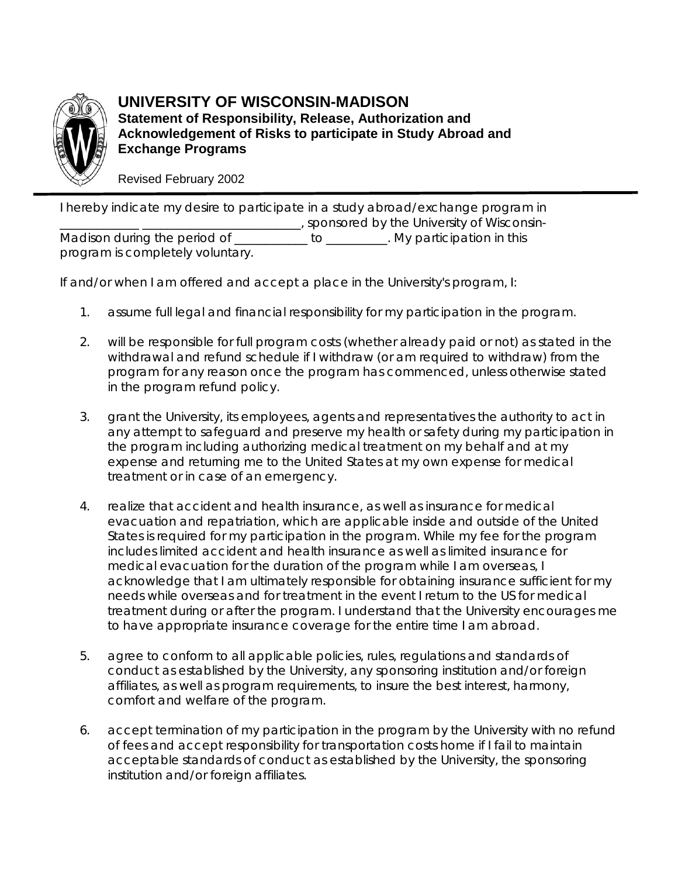

**UNIVERSITY OF WISCONSIN-MADISON Statement of Responsibility, Release, Authorization and Acknowledgement of Risks to participate in Study Abroad and Exchange Programs**

Revised February 2002

I hereby indicate my desire to participate in a study abroad/exchange program in \_\_\_\_\_\_\_\_\_\_\_\_\_ \_\_\_\_\_\_\_\_\_\_\_\_\_\_\_\_\_\_\_\_\_\_\_\_\_\_, sponsored by the University of Wisconsin-Madison during the period of \_\_\_\_\_\_\_\_\_\_\_ to \_\_\_\_\_\_\_\_. My participation in this program is completely voluntary.

If and/or when I am offered and accept a place in the University's program, I:

- 1. assume full legal and financial responsibility for my participation in the program.
- 2. will be responsible for full program costs (whether already paid or not) as stated in the withdrawal and refund schedule if I withdraw (or am required to withdraw) from the program for any reason once the program has commenced, unless otherwise stated in the program refund policy.
- 3. grant the University, its employees, agents and representatives the authority to act in any attempt to safeguard and preserve my health or safety during my participation in the program including authorizing medical treatment on my behalf and at my expense and returning me to the United States at my own expense for medical treatment or in case of an emergency.
- 4. realize that accident and health insurance, as well as insurance for medical evacuation and repatriation, which are applicable inside and outside of the United States is required for my participation in the program. While my fee for the program includes limited accident and health insurance as well as limited insurance for medical evacuation for the duration of the program while I am overseas, I acknowledge that I am ultimately responsible for obtaining insurance sufficient for my needs while overseas and for treatment in the event I return to the US for medical treatment during or after the program. I understand that the University encourages me to have appropriate insurance coverage for the entire time I am abroad.
- 5. agree to conform to all applicable policies, rules, regulations and standards of conduct as established by the University, any sponsoring institution and/or foreign affiliates, as well as program requirements, to insure the best interest, harmony, comfort and welfare of the program.
- 6. accept termination of my participation in the program by the University with no refund of fees and accept responsibility for transportation costs home if I fail to maintain acceptable standards of conduct as established by the University, the sponsoring institution and/or foreign affiliates.